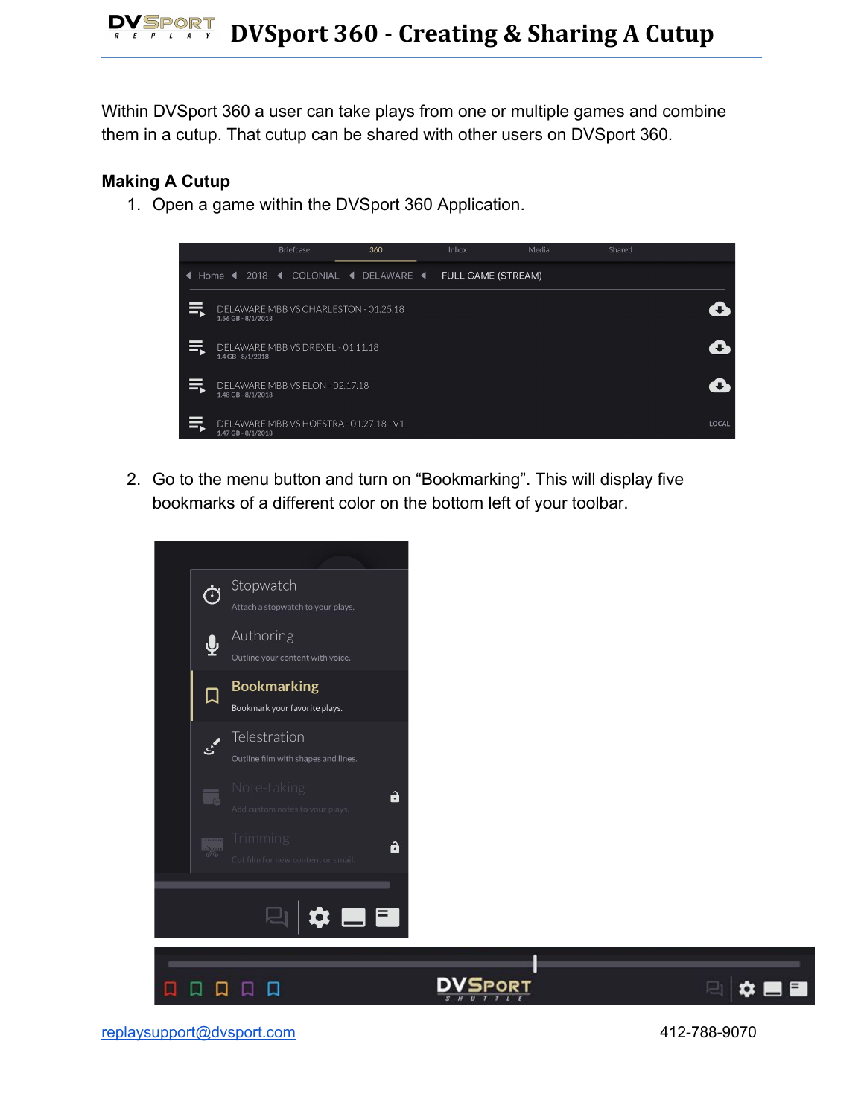Within DVSport 360 a user can take plays from one or multiple games and combine them in a cutup. That cutup can be shared with other users on DVSport 360.

## **Making A Cutup**

1. Open a game within the DVSport 360 Application.



2. Go to the menu button and turn on "Bookmarking". This will display five bookmarks of a different color on the bottom left of your toolbar.



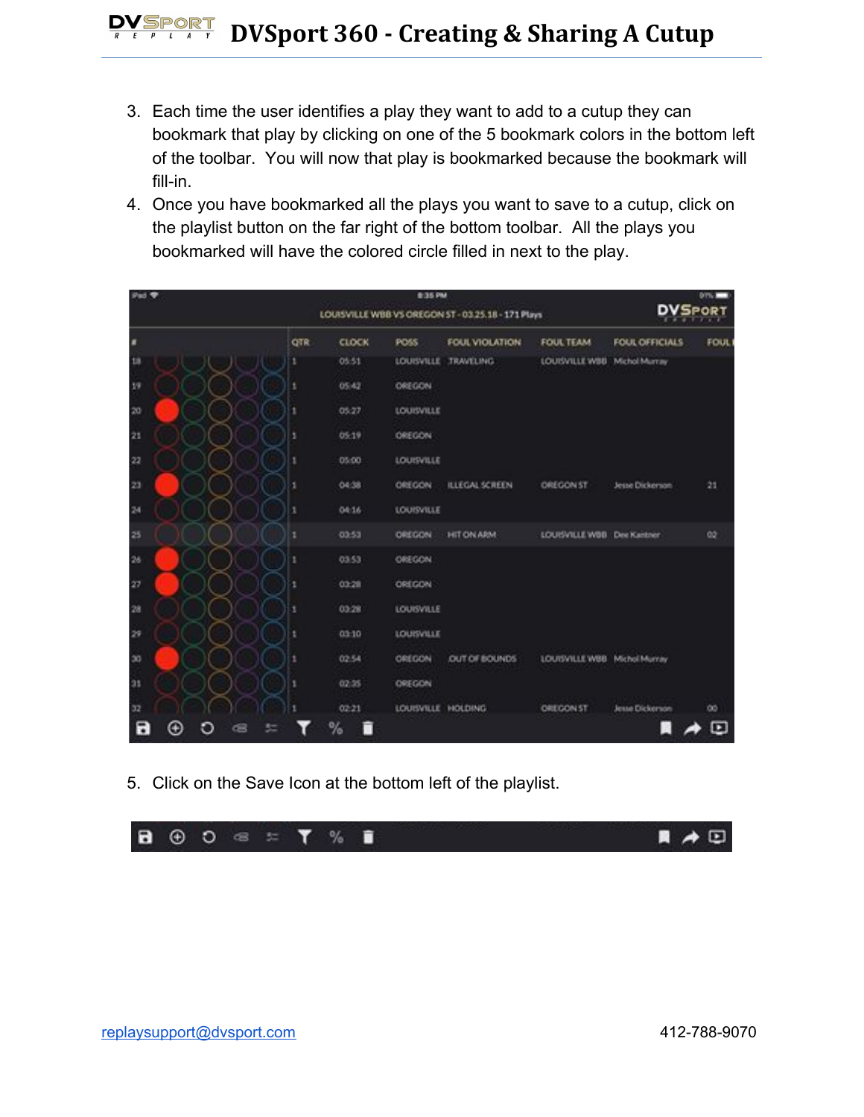- 3. Each time the user identifies a play they want to add to a cutup they can bookmark that play by clicking on one of the 5 bookmark colors in the bottom left of the toolbar. You will now that play is bookmarked because the bookmark will fill-in.
- 4. Once you have bookmarked all the plays you want to save to a cutup, click on the playlist button on the far right of the bottom toolbar. All the plays you bookmarked will have the colored circle filled in next to the play.

| Fad 9 |     | 8:35 PM<br>LOUISVILLE WBB VS OREGON ST - 03.25.18 - 171 Plays |                    |                       |                              |                 | <b>DISCOVER</b><br><b>DVSPORT</b> |  |
|-------|-----|---------------------------------------------------------------|--------------------|-----------------------|------------------------------|-----------------|-----------------------------------|--|
| п     | QTR | <b>CLOCK</b>                                                  | POSS               | FOUL VIOLATION        | <b>FOUL TEAM</b>             | FOUL OFFICIALS  | <b>FOUL</b>                       |  |
| ta    |     | 05:51                                                         |                    | LOUISVILLE TRAVELING  | LOUISVILLE WBB Michol Murray |                 |                                   |  |
| 39    | 1   | 05:42                                                         | OREGON             |                       |                              |                 |                                   |  |
| 20    |     | 05:27                                                         | LOUISVILLE         |                       |                              |                 |                                   |  |
| 21    | ٠   | 05:19                                                         | OREGON             |                       |                              |                 |                                   |  |
| -22   |     | 05:00                                                         | LOUISVILLE         |                       |                              |                 |                                   |  |
| 23    |     | 04:38                                                         | OREGON             | <b>ILLEGAL SCREEN</b> | OREGON ST                    | Jesse Dickerson | 21                                |  |
| 24    |     | 04:16                                                         | LOUISVILLE         |                       |                              |                 |                                   |  |
| 25    |     | 03:53                                                         | OREGON             | <b>HIT ON ARM</b>     | LOUISVILLE WOB Dee Kantner   |                 | 00                                |  |
| 26    | ١   | 0353                                                          | OREGON             |                       |                              |                 |                                   |  |
| 27    | ٠   | 03:28                                                         | OREGON             |                       |                              |                 |                                   |  |
| 28    |     | 03:28                                                         | <b>LOUISVILLE</b>  |                       |                              |                 |                                   |  |
| 29    |     | 03:10                                                         | <b>LOUISVILLE</b>  |                       |                              |                 |                                   |  |
| 30    |     | 02.54                                                         | OREGON             | OUT OF BOUNDS         | LOUISVILLE WBB Michol Murray |                 |                                   |  |
| 31    |     | 02:35                                                         | OREGON             |                       |                              |                 |                                   |  |
| 32    |     | $02 - 21$                                                     | LOUISVILLE HOLDING |                       | OREGON ST                    | Jesse Dickerson | $^{00}$                           |  |
| Е     |     | %<br>п                                                        |                    |                       |                              |                 | ⊡                                 |  |

5. Click on the Save Icon at the bottom left of the playlist.

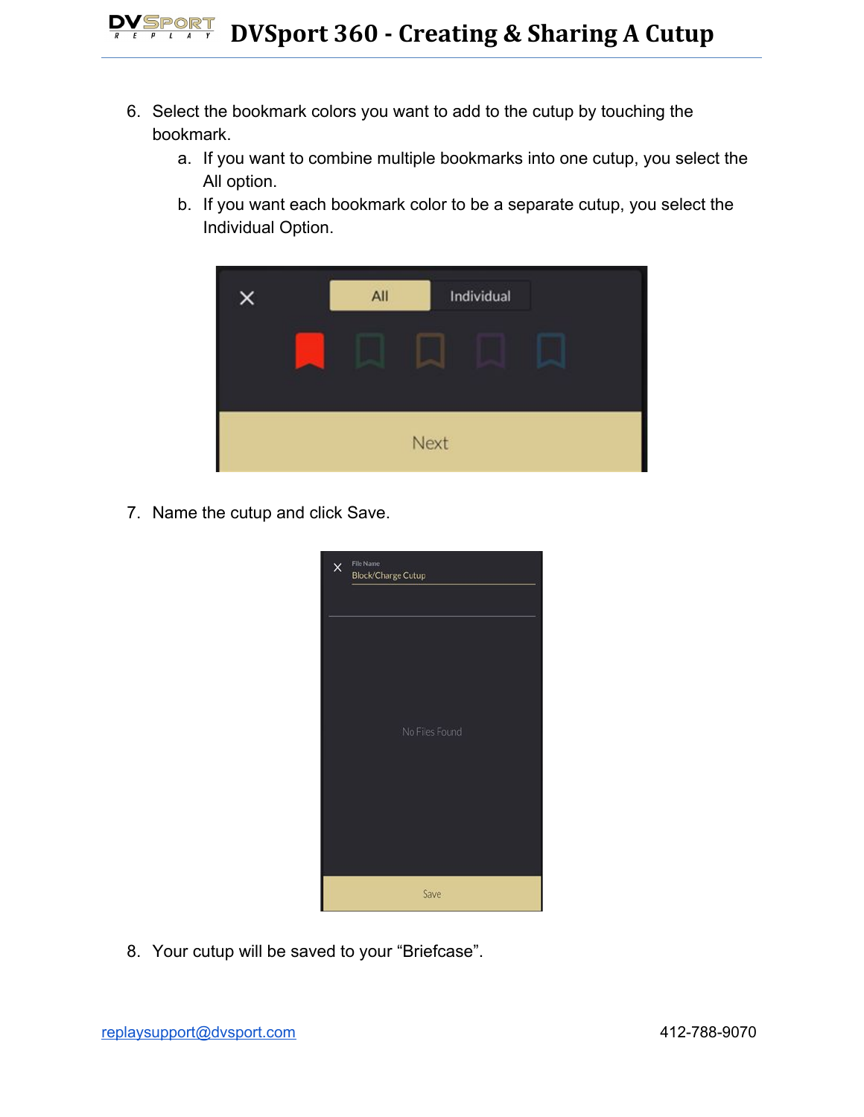- 6. Select the bookmark colors you want to add to the cutup by touching the bookmark.
	- a. If you want to combine multiple bookmarks into one cutup, you select the All option.
	- b. If you want each bookmark color to be a separate cutup, you select the Individual Option.



7. Name the cutup and click Save.



8. Your cutup will be saved to your "Briefcase".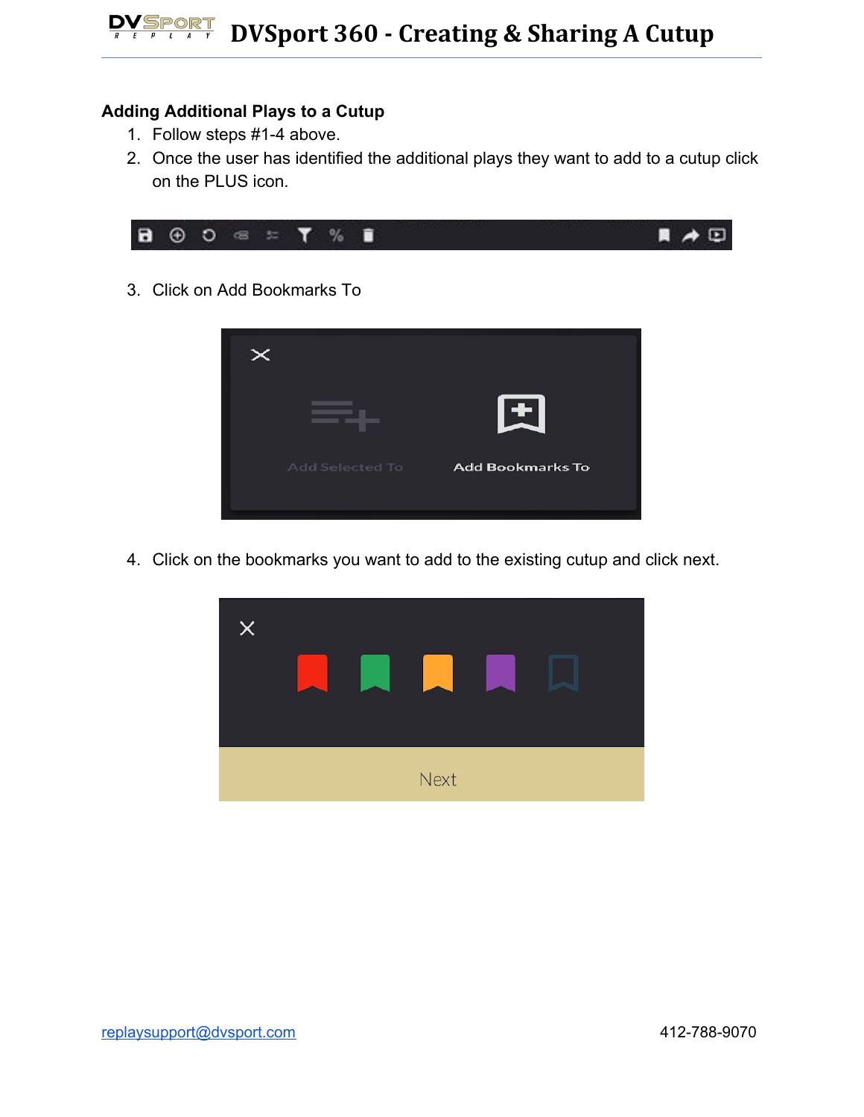## **Adding Additional Plays to a Cutup**

- 1. Follow steps #1-4 above.
- 2. Once the user has identified the additional plays they want to add to a cutup click on the PLUS icon.



3. Click on Add Bookmarks To



4. Click on the bookmarks you want to add to the existing cutup and click next.

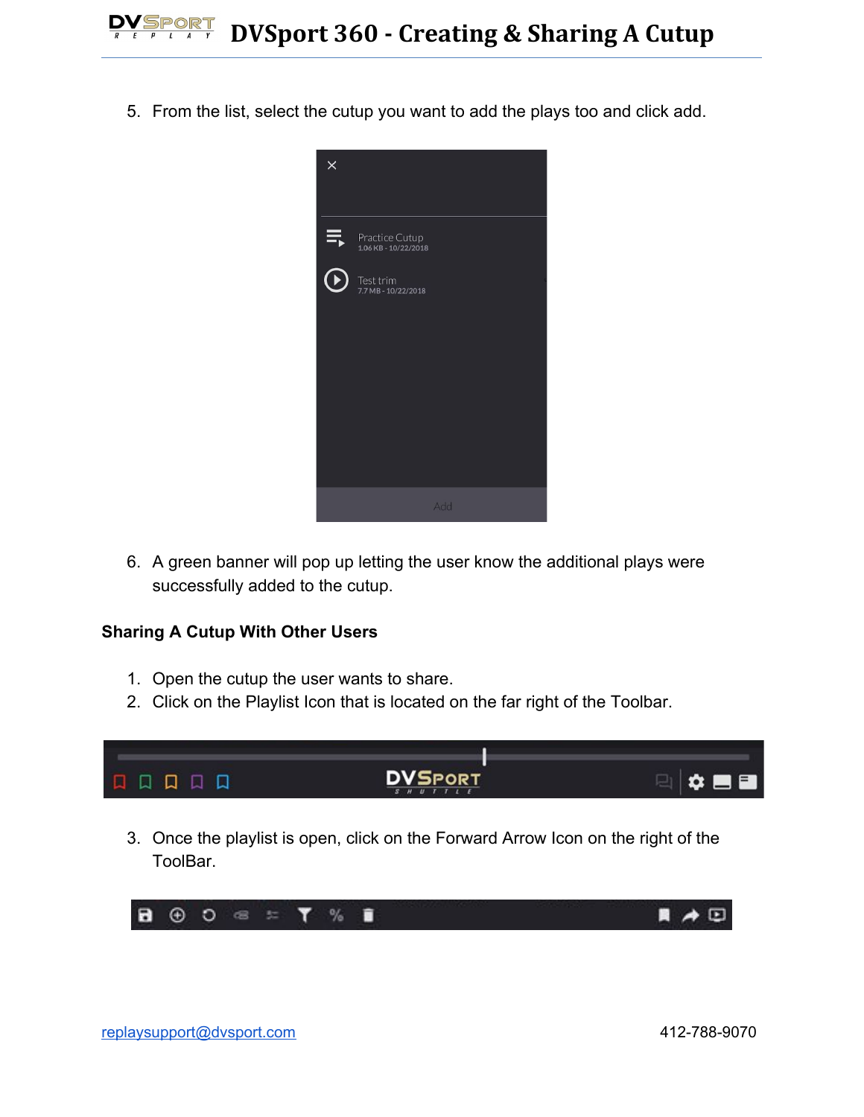5. From the list, select the cutup you want to add the plays too and click add.



6. A green banner will pop up letting the user know the additional plays were successfully added to the cutup.

## **Sharing A Cutup With Other Users**

- 1. Open the cutup the user wants to share.
- 2. Click on the Playlist Icon that is located on the far right of the Toolbar.